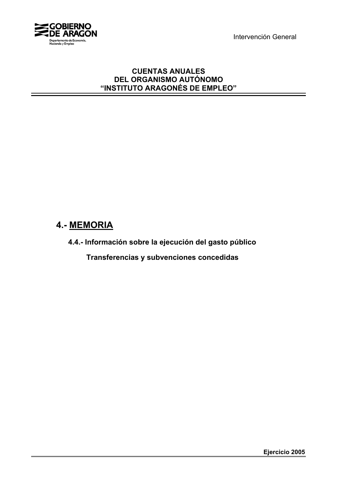Intervención General



### **CUENTAS ANUALES DEL ORGANISMO AUTÓNOMO "INSTITUTO ARAGONÉS DE EMPLEO"**

# **4.- MEMORIA**

**4.4.- Información sobre la ejecución del gasto público**

 **Transferencias y subvenciones concedidas**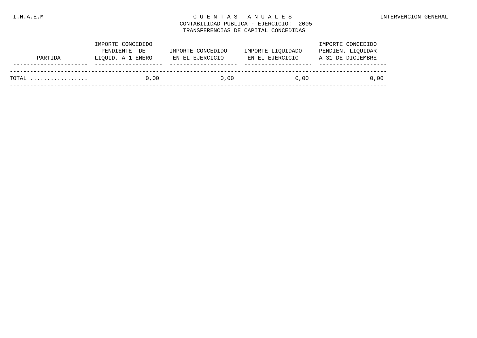### I.N.A.E.M C U E N T A S A N U A L E S INTERVENCION GENERAL

### CONTABILIDAD PUBLICA - EJERCICIO: 2005 TRANSFERENCIAS DE CAPITAL CONCEDIDAS

|         | IMPORTE CONCEDIDO |                   |                   | IMPORTE CONCEDIDO |
|---------|-------------------|-------------------|-------------------|-------------------|
|         | PENDIENTE DE      | IMPORTE CONCEDIDO | IMPORTE LIOUIDADO | PENDIEN. LIQUIDAR |
| PARTIDA | LIOUID. A 1-ENERO | EN EL EJERCICIO   | EN EL EJERCICIO   | A 31 DE DICIEMBRE |
|         |                   |                   |                   |                   |
| TOTAL   | 0.00              | 0.00              | 0.00              | 0.00              |
|         |                   |                   |                   |                   |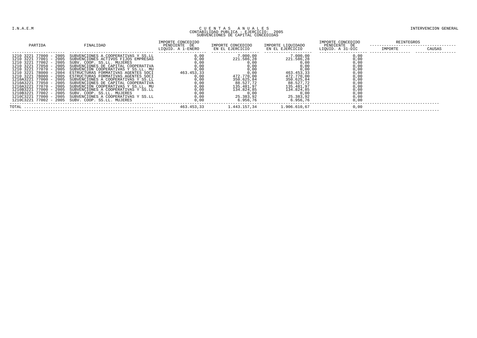# CUE N T A S A N U A L E S A N U A L E S A N CONTABILIDAD PUBLICA - EJERCICIO: 2005<br>CONTABILIDAD PUBLICA - EJERCICIO: 2005<br>SUBVENCIONES DE CAPITAL CONCEDIDAS

| PARTIDA                                                                                                                                                                                                                                                                                                                                                                                                                        | FINALIDAD                                                                                                                                                                                                                                                                                                                                                                                                                                                                                                                     | IMPORTE CONCEDIDO<br>PENDIENTE DE          | IMPORTE CONCEDIDO                                                                                                    | IMPORTE LIQUIDADO                                                                                                                  | IMPORTE CONCEDIDO<br>PENDIENTE DE                                    | REINTEGROS |        |
|--------------------------------------------------------------------------------------------------------------------------------------------------------------------------------------------------------------------------------------------------------------------------------------------------------------------------------------------------------------------------------------------------------------------------------|-------------------------------------------------------------------------------------------------------------------------------------------------------------------------------------------------------------------------------------------------------------------------------------------------------------------------------------------------------------------------------------------------------------------------------------------------------------------------------------------------------------------------------|--------------------------------------------|----------------------------------------------------------------------------------------------------------------------|------------------------------------------------------------------------------------------------------------------------------------|----------------------------------------------------------------------|------------|--------|
|                                                                                                                                                                                                                                                                                                                                                                                                                                |                                                                                                                                                                                                                                                                                                                                                                                                                                                                                                                               | LIQUID. A 1-ENERO                          | EN EL EJERCICIO                                                                                                      | EN EL EJERCICIO                                                                                                                    | LIQUID. A 31-DIC                                                     | IMPORTE    | CAUSAS |
| 77000 - 2005<br>1210 3221<br>1210 3221 77001 - 2005<br>77002 - 2005<br>1210 3221<br>1210 3221 77050<br>$-2005$<br>$-2005$<br>1210 3221<br>77070<br>1210 3221 78000 - 2004<br>$-2005$<br>78000<br>1210 3221<br>77000 - 2005<br>1210A3221<br>2005<br>1210A3221<br>77050<br>77070 - 2005<br>1210A3221<br>$-2005$<br>1210B3221<br>77000<br>$77002 - 2005$<br>1210B3221<br>$-2005$<br>1210C3221<br>77000<br>$1210C322177002 - 2005$ | SUBVENCIONES A COOPERATIVAS Y SS.LL<br>SUBVENCIONES ACTIVOS FIJOS EMPRESAS<br>SUBV. COOP. SS.LL. MUJERES<br>SUBVENCIONES DE CAPITAL COOPERATIVA<br>SUBVENCIÓN COOPERATIVAS Y SS.<br>ESTRUCTURAS FORMATIVAS AGENTES SOCI<br>ESTRUCTURAS FORMATIVAS AGENTES SOCI<br>SUBVENCIONES A COOPERATIVAS Y SS.LL<br>SUBVENCIONES DE CAPITAL COOPERATIVA<br>SUBVENCIÓN COOPERATIVAS Y SS.LL. MU<br>SUBVENCIONES A COOPERATIVAS Y SS.LL<br>SUBV. COOP. SS.LL. MUJERES<br>SUBVENCIONES A COOPERATIVAS Y SS.LL<br>SUBV, COOP, SS.LL, MUJERES | 0,00<br>0,00<br>463.453,33<br>0,00<br>0,00 | 7.000,00<br>221.586,28<br>472.770,00<br>350.625,84<br>88.527,72<br>135.481,97<br>134.824,85<br>25.383,92<br>6.956.76 | 7.000,00<br>221.586,28<br>463.453,33<br>472.770,00<br>350.625,84<br>88.527,72<br>135.481,97<br>134.824,85<br>25.383,92<br>6 956 76 | 0,00<br>0,00<br>0,00<br>0,00<br>0,00<br>0,00<br>0,00<br>0,00<br>0,00 |            |        |
| TOTAL                                                                                                                                                                                                                                                                                                                                                                                                                          |                                                                                                                                                                                                                                                                                                                                                                                                                                                                                                                               | 463.453.33                                 | 1.443.157.34                                                                                                         | 1.906.610.67                                                                                                                       | 0.00                                                                 |            |        |
|                                                                                                                                                                                                                                                                                                                                                                                                                                |                                                                                                                                                                                                                                                                                                                                                                                                                                                                                                                               |                                            |                                                                                                                      |                                                                                                                                    |                                                                      |            |        |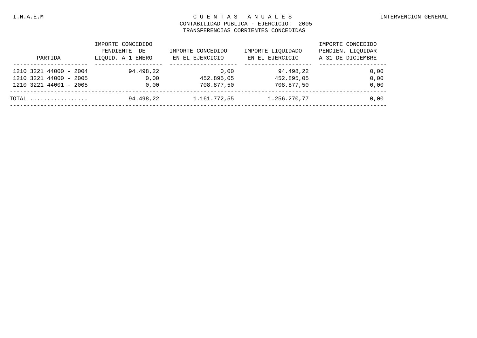#### I.N.A.E.M C U E N T A S A N U A L E S INTERVENCION GENERAL

### CONTABILIDAD PUBLICA - EJERCICIO: 2005 TRANSFERENCIAS CORRIENTES CONCEDIDAS

| PARTIDA                                                                    | IMPORTE CONCEDIDO<br>PENDIENTE<br>DE<br>LIOUID. A 1-ENERO | IMPORTE CONCEDIDO<br>EN EL EJERCICIO | IMPORTE LIOUIDADO<br>EN EL EJERCICIO  | IMPORTE CONCEDIDO<br>PENDIEN. LIOUIDAR<br>A 31 DE DICIEMBRE |
|----------------------------------------------------------------------------|-----------------------------------------------------------|--------------------------------------|---------------------------------------|-------------------------------------------------------------|
| 1210 3221 44000 - 2004<br>1210 3221 44000 - 2005<br>1210 3221 44001 - 2005 | 94.498,22<br>0.00<br>0.00                                 | 0.00<br>452.895,05<br>708.877,50     | 94.498.22<br>452.895,05<br>708.877,50 | 0,00<br>0,00<br>0.00                                        |
| TOTAL                                                                      | 94.498,22                                                 | 1.161.772,55                         | 1.256.270,77                          | 0.00                                                        |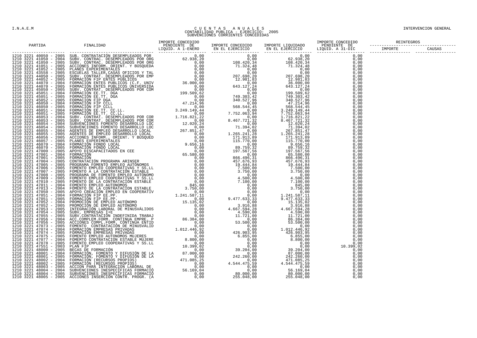# COURNTA E A NUALES ANNO LE SUBRECTE DE L'ESTRECTION CONTABILIDAD PUBLICA - EJERCICION CONTABILIDAD PUBLICA - EJERCICION CONTABILIDAD PUBLICA - EJERCICION CONTABILIDAD PUBLICA - EJERCICION CONTABILIDAD PUBLICA - EJERCICION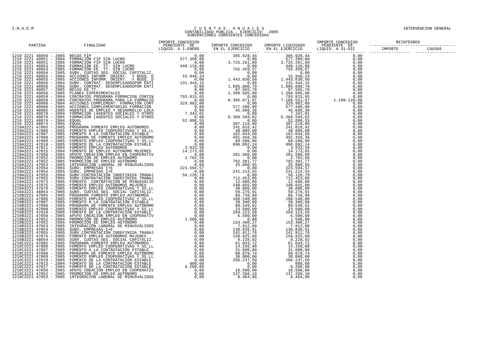# COURNTA E A NUALES ANNO LE SUBRECTE DE L'ESTRECTION CONTABILIDAD PUBLICA - EJERCICION CONTABILIDAD PUBLICA - EJERCICION CONTABILIDAD PUBLICA - EJERCICION CONTABILIDAD PUBLICA - EJERCICION CONTABILIDAD PUBLICA - EJERCICION